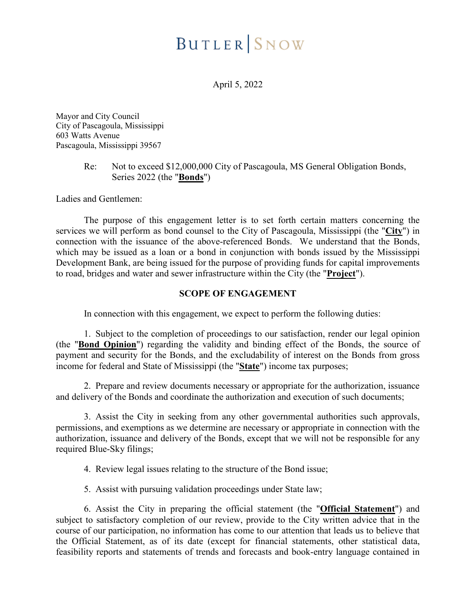# **BUTLER** SNOW

April 5, 2022

Mayor and City Council City of Pascagoula, Mississippi 603 Watts Avenue Pascagoula, Mississippi 39567

> Re: Not to exceed \$12,000,000 City of Pascagoula, MS General Obligation Bonds, Series 2022 (the "**Bonds**")

Ladies and Gentlemen:

The purpose of this engagement letter is to set forth certain matters concerning the services we will perform as bond counsel to the City of Pascagoula, Mississippi (the "**City**") in connection with the issuance of the above-referenced Bonds. We understand that the Bonds, which may be issued as a loan or a bond in conjunction with bonds issued by the Mississippi Development Bank, are being issued for the purpose of providing funds for capital improvements to road, bridges and water and sewer infrastructure within the City (the "**Project**").

## **SCOPE OF ENGAGEMENT**

In connection with this engagement, we expect to perform the following duties:

1. Subject to the completion of proceedings to our satisfaction, render our legal opinion (the "**Bond Opinion**") regarding the validity and binding effect of the Bonds, the source of payment and security for the Bonds, and the excludability of interest on the Bonds from gross income for federal and State of Mississippi (the "**State**") income tax purposes;

2. Prepare and review documents necessary or appropriate for the authorization, issuance and delivery of the Bonds and coordinate the authorization and execution of such documents;

3. Assist the City in seeking from any other governmental authorities such approvals, permissions, and exemptions as we determine are necessary or appropriate in connection with the authorization, issuance and delivery of the Bonds, except that we will not be responsible for any required Blue-Sky filings;

4. Review legal issues relating to the structure of the Bond issue;

5. Assist with pursuing validation proceedings under State law;

6. Assist the City in preparing the official statement (the "**Official Statement**") and subject to satisfactory completion of our review, provide to the City written advice that in the course of our participation, no information has come to our attention that leads us to believe that the Official Statement, as of its date (except for financial statements, other statistical data, feasibility reports and statements of trends and forecasts and book-entry language contained in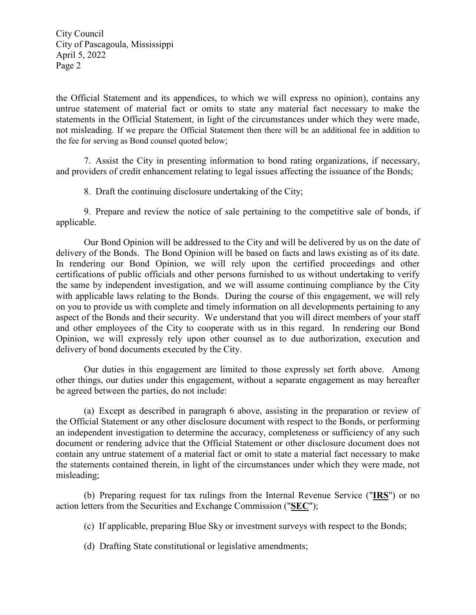City Council City of Pascagoula, Mississippi April 5, 2022 Page 2

the Official Statement and its appendices, to which we will express no opinion), contains any untrue statement of material fact or omits to state any material fact necessary to make the statements in the Official Statement, in light of the circumstances under which they were made, not misleading. If we prepare the Official Statement then there will be an additional fee in addition to the fee for serving as Bond counsel quoted below;

7. Assist the City in presenting information to bond rating organizations, if necessary, and providers of credit enhancement relating to legal issues affecting the issuance of the Bonds;

8. Draft the continuing disclosure undertaking of the City;

9. Prepare and review the notice of sale pertaining to the competitive sale of bonds, if applicable.

Our Bond Opinion will be addressed to the City and will be delivered by us on the date of delivery of the Bonds. The Bond Opinion will be based on facts and laws existing as of its date. In rendering our Bond Opinion, we will rely upon the certified proceedings and other certifications of public officials and other persons furnished to us without undertaking to verify the same by independent investigation, and we will assume continuing compliance by the City with applicable laws relating to the Bonds. During the course of this engagement, we will rely on you to provide us with complete and timely information on all developments pertaining to any aspect of the Bonds and their security. We understand that you will direct members of your staff and other employees of the City to cooperate with us in this regard. In rendering our Bond Opinion, we will expressly rely upon other counsel as to due authorization, execution and delivery of bond documents executed by the City.

Our duties in this engagement are limited to those expressly set forth above. Among other things, our duties under this engagement, without a separate engagement as may hereafter be agreed between the parties, do not include:

(a) Except as described in paragraph 6 above, assisting in the preparation or review of the Official Statement or any other disclosure document with respect to the Bonds, or performing an independent investigation to determine the accuracy, completeness or sufficiency of any such document or rendering advice that the Official Statement or other disclosure document does not contain any untrue statement of a material fact or omit to state a material fact necessary to make the statements contained therein, in light of the circumstances under which they were made, not misleading;

(b) Preparing request for tax rulings from the Internal Revenue Service ("**IRS**") or no action letters from the Securities and Exchange Commission ("**SEC**");

- (c) If applicable, preparing Blue Sky or investment surveys with respect to the Bonds;
- (d) Drafting State constitutional or legislative amendments;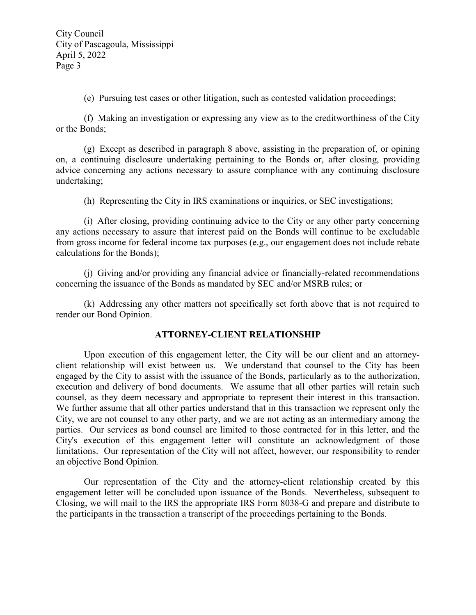(e) Pursuing test cases or other litigation, such as contested validation proceedings;

(f) Making an investigation or expressing any view as to the creditworthiness of the City or the Bonds;

(g) Except as described in paragraph 8 above, assisting in the preparation of, or opining on, a continuing disclosure undertaking pertaining to the Bonds or, after closing, providing advice concerning any actions necessary to assure compliance with any continuing disclosure undertaking;

(h) Representing the City in IRS examinations or inquiries, or SEC investigations;

(i) After closing, providing continuing advice to the City or any other party concerning any actions necessary to assure that interest paid on the Bonds will continue to be excludable from gross income for federal income tax purposes (e.g., our engagement does not include rebate calculations for the Bonds);

(j) Giving and/or providing any financial advice or financially-related recommendations concerning the issuance of the Bonds as mandated by SEC and/or MSRB rules; or

(k) Addressing any other matters not specifically set forth above that is not required to render our Bond Opinion.

## **ATTORNEY-CLIENT RELATIONSHIP**

Upon execution of this engagement letter, the City will be our client and an attorneyclient relationship will exist between us. We understand that counsel to the City has been engaged by the City to assist with the issuance of the Bonds, particularly as to the authorization, execution and delivery of bond documents. We assume that all other parties will retain such counsel, as they deem necessary and appropriate to represent their interest in this transaction. We further assume that all other parties understand that in this transaction we represent only the City, we are not counsel to any other party, and we are not acting as an intermediary among the parties. Our services as bond counsel are limited to those contracted for in this letter, and the City's execution of this engagement letter will constitute an acknowledgment of those limitations. Our representation of the City will not affect, however, our responsibility to render an objective Bond Opinion.

Our representation of the City and the attorney-client relationship created by this engagement letter will be concluded upon issuance of the Bonds. Nevertheless, subsequent to Closing, we will mail to the IRS the appropriate IRS Form 8038-G and prepare and distribute to the participants in the transaction a transcript of the proceedings pertaining to the Bonds.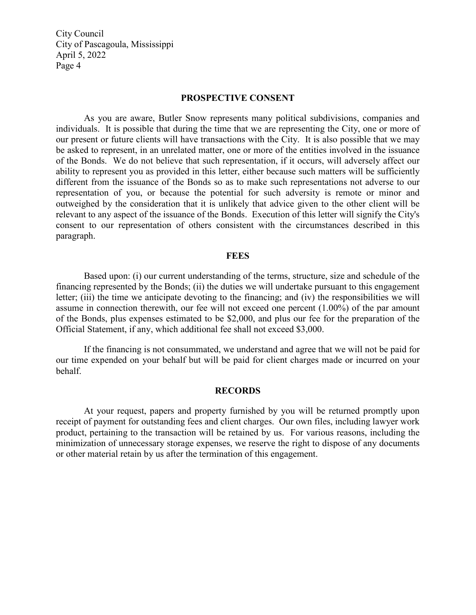City Council City of Pascagoula, Mississippi April 5, 2022 Page 4

#### **PROSPECTIVE CONSENT**

As you are aware, Butler Snow represents many political subdivisions, companies and individuals. It is possible that during the time that we are representing the City, one or more of our present or future clients will have transactions with the City. It is also possible that we may be asked to represent, in an unrelated matter, one or more of the entities involved in the issuance of the Bonds. We do not believe that such representation, if it occurs, will adversely affect our ability to represent you as provided in this letter, either because such matters will be sufficiently different from the issuance of the Bonds so as to make such representations not adverse to our representation of you, or because the potential for such adversity is remote or minor and outweighed by the consideration that it is unlikely that advice given to the other client will be relevant to any aspect of the issuance of the Bonds. Execution of this letter will signify the City's consent to our representation of others consistent with the circumstances described in this paragraph.

#### **FEES**

Based upon: (i) our current understanding of the terms, structure, size and schedule of the financing represented by the Bonds; (ii) the duties we will undertake pursuant to this engagement letter; (iii) the time we anticipate devoting to the financing; and (iv) the responsibilities we will assume in connection therewith, our fee will not exceed one percent (1.00%) of the par amount of the Bonds, plus expenses estimated to be \$2,000, and plus our fee for the preparation of the Official Statement, if any, which additional fee shall not exceed \$3,000.

If the financing is not consummated, we understand and agree that we will not be paid for our time expended on your behalf but will be paid for client charges made or incurred on your behalf.

## **RECORDS**

At your request, papers and property furnished by you will be returned promptly upon receipt of payment for outstanding fees and client charges. Our own files, including lawyer work product, pertaining to the transaction will be retained by us. For various reasons, including the minimization of unnecessary storage expenses, we reserve the right to dispose of any documents or other material retain by us after the termination of this engagement.